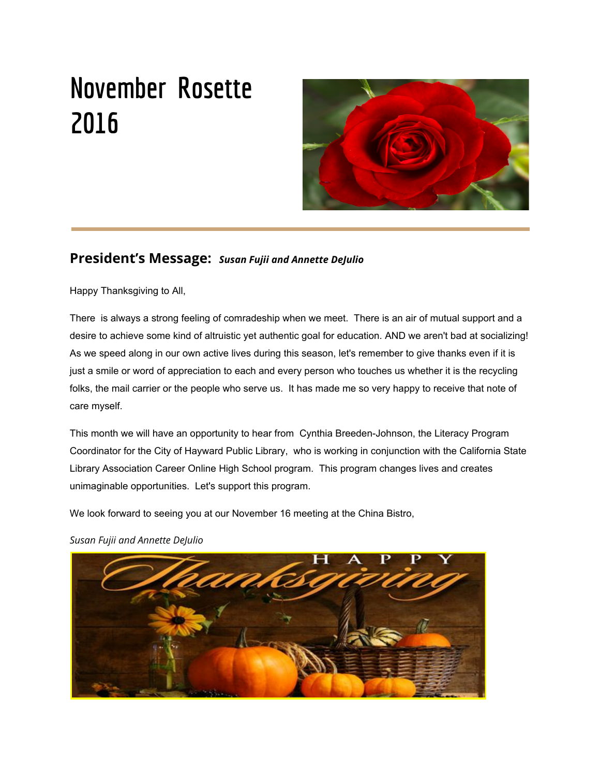# **November Rosette 2016**



# **President's Message:** *Susan Fujii and Annette DeJulio*

Happy Thanksgiving to All,

There is always a strong feeling of comradeship when we meet. There is an air of mutual support and a desire to achieve some kind of altruistic yet authentic goal for education. AND we aren't bad at socializing! As we speed along in our own active lives during this season, let's remember to give thanks even if it is just a smile or word of appreciation to each and every person who touches us whether it is the recycling folks, the mail carrier or the people who serve us. It has made me so very happy to receive that note of care myself.

This month we will have an opportunity to hear from Cynthia Breeden-Johnson, the Literacy Program Coordinator for the City of Hayward Public Library, who is working in conjunction with the California State Library Association Career Online High School program. This program changes lives and creates unimaginable opportunities. Let's support this program.

We look forward to seeing you at our November 16 meeting at the China Bistro,



*Susan Fujii and Annette DeJulio*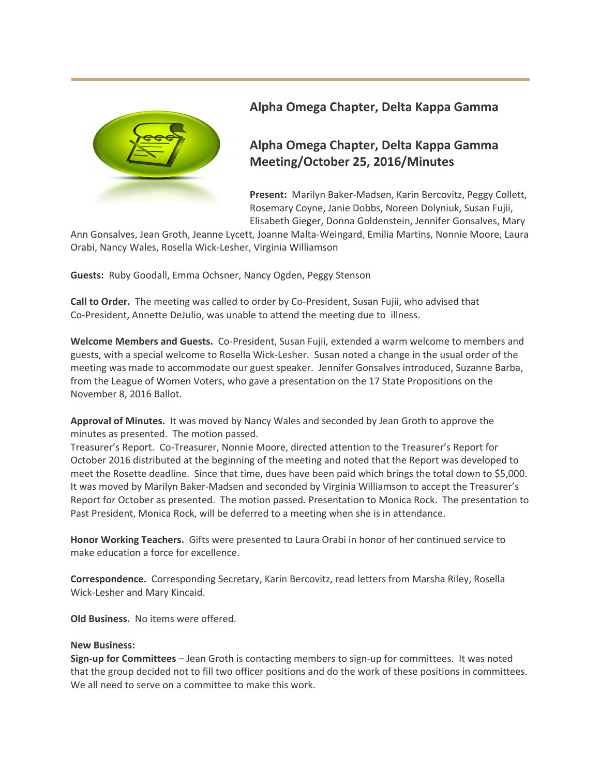

# **Alpha Omega Chapter, Delta Kappa Gamma**

# **Alpha Omega Chapter, Delta Kappa Gamma Meeting/October 25, 2016/Minutes**

**Present:** Marilyn Baker-Madsen, Karin Bercovitz, Peggy Collett, Rosemary Coyne, Janie Dobbs, Noreen Dolyniuk, Susan Fujii, Elisabeth Gieger, Donna Goldenstein, Jennifer Gonsalves, Mary

Ann Gonsalves, Jean Groth, Jeanne Lycett, Joanne Malta-Weingard, Emilia Martins, Nonnie Moore, Laura Orabi, Nancy Wales, Rosella Wick-Lesher, Virginia Williamson

**Guests:** Ruby Goodall, Emma Ochsner, Nancy Ogden, Peggy Stenson

**Call to Order.** The meeting was called to order by Co-President, Susan Fujii, who advised that Co-President, Annette DeJulio, was unable to attend the meeting due to illness.

**Welcome Members and Guests.** Co-President, Susan Fujii, extended a warm welcome to members and guests, with a special welcome to Rosella Wick-Lesher. Susan noted a change in the usual order of the meeting was made to accommodate our guest speaker. Jennifer Gonsalves introduced, Suzanne Barba, from the League of Women Voters, who gave a presentation on the 17 State Propositions on the November 8, 2016 Ballot.

**Approval of Minutes.** It was moved by Nancy Wales and seconded by Jean Groth to approve the minutes as presented. The motion passed.

Treasurer's Report. Co-Treasurer, Nonnie Moore, directed attention to the Treasurer's Report for October 2016 distributed at the beginning of the meeting and noted that the Report was developed to meet the Rosette deadline. Since that time, dues have been paid which brings the total down to \$5,000. It was moved by Marilyn Baker-Madsen and seconded by Virginia Williamson to accept the Treasurer's Report for October as presented. The motion passed. Presentation to Monica Rock. The presentation to Past President, Monica Rock, will be deferred to a meeting when she is in attendance.

**Honor Working Teachers.** Gifts were presented to Laura Orabi in honor of her continued service to make education a force for excellence.

**Correspondence.** Corresponding Secretary, Karin Bercovitz, read letters from Marsha Riley, Rosella Wick-Lesher and Mary Kincaid.

**Old Business.** No items were offered.

#### **New Business:**

**Sign-up for Committees** – Jean Groth is contacting members to sign-up for committees. It was noted that the group decided not to fill two officer positions and do the work of these positions in committees. We all need to serve on a committee to make this work.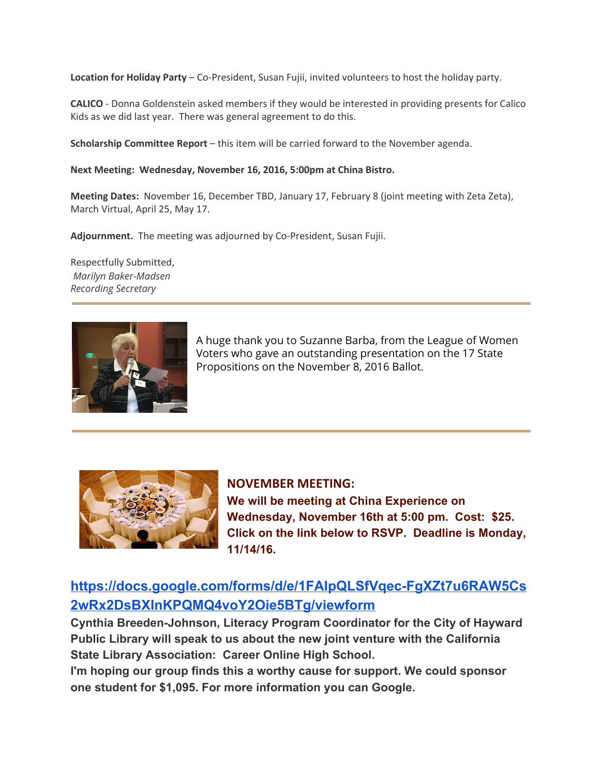**Location for Holiday Party** – Co-President, Susan Fujii, invited volunteers to host the holiday party.

**CALICO** - Donna Goldenstein asked members if they would be interested in providing presents for Calico Kids as we did last year. There was general agreement to do this.

**Scholarship Committee Report** – this item will be carried forward to the November agenda.

#### **Next Meeting: Wednesday, November 16, 2016, 5:00pm at China Bistro.**

**Meeting Dates:** November 16, December TBD, January 17, February 8 (joint meeting with Zeta Zeta), March Virtual, April 25, May 17.

**Adjournment.** The meeting was adjourned by Co-President, Susan Fujii.

Respectfully Submitted, *Marilyn Baker-Madsen Recording Secretary*



A huge thank you to Suzanne Barba, from the League of Women Voters who gave an outstanding presentation on the 17 State Propositions on the November 8, 2016 Ballot.



**NOVEMBER MEETING: We will be meeting at China Experience on Wednesday, November 16th at 5:00 pm. Cost: \$25. Click on the link below to RSVP. Deadline is Monday, 11/14/16.**

# **[https://docs.google.com/forms/d/e/1FAIpQLSfVqec-FgXZt7u6RAW5Cs](https://docs.google.com/forms/d/e/1FAIpQLSfVqec-FgXZt7u6RAW5Cs2wRx2DsBXInKPQMQ4voY2Oie5BTg/viewform) [2wRx2DsBXInKPQMQ4voY2Oie5BTg/viewform](https://docs.google.com/forms/d/e/1FAIpQLSfVqec-FgXZt7u6RAW5Cs2wRx2DsBXInKPQMQ4voY2Oie5BTg/viewform)**

**Cynthia Breeden-Johnson, Literacy Program Coordinator for the City of Hayward Public Library will speak to us about the new joint venture with the California State Library Association: Career Online High School.**

**I'm hoping our group finds this a worthy cause for support. We could sponsor one student for \$1,095. For more information you can Google.**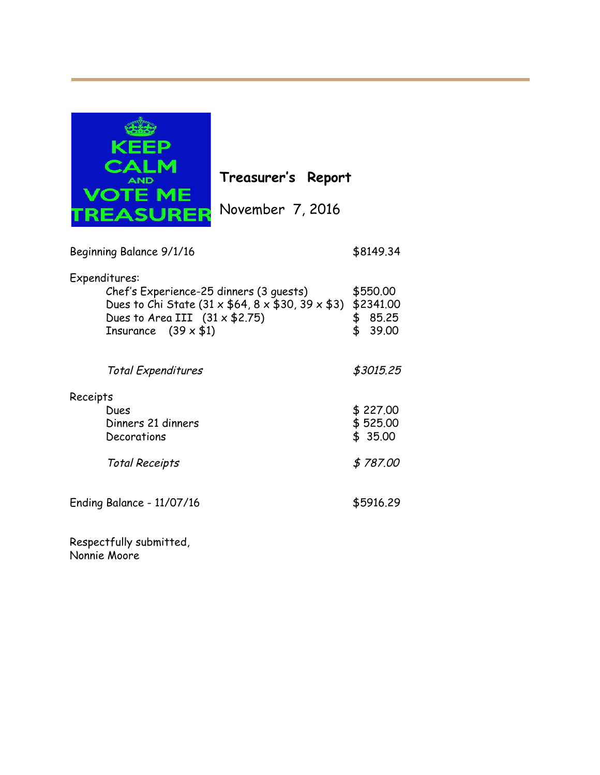

**Treasurer's Report**

| Beginning Balance 9/1/16                                                                                                                                                                     | \$8149.34                                     |
|----------------------------------------------------------------------------------------------------------------------------------------------------------------------------------------------|-----------------------------------------------|
| Expenditures:<br>Chef's Experience-25 dinners (3 quests)<br>Dues to Chi State (31 x $$64, 8 \times $30, 39 \times $3)$<br>Dues to Area III $(31 \times $2.75)$<br>Insurance $(39 \times $1)$ | \$550.00<br>\$2341,00<br>\$<br>85.25<br>39.00 |
| Total Expenditures                                                                                                                                                                           | \$3015.25                                     |
| Receipts<br>Dues<br>Dinners 21 dinners<br>Decorations<br><b>Total Receipts</b>                                                                                                               | \$227.00<br>\$525.00<br>\$35.00<br>\$787.00   |
| Ending Balance - 11/07/16                                                                                                                                                                    | \$5916.29                                     |
|                                                                                                                                                                                              |                                               |

Respectfully submitted, Nonnie Moore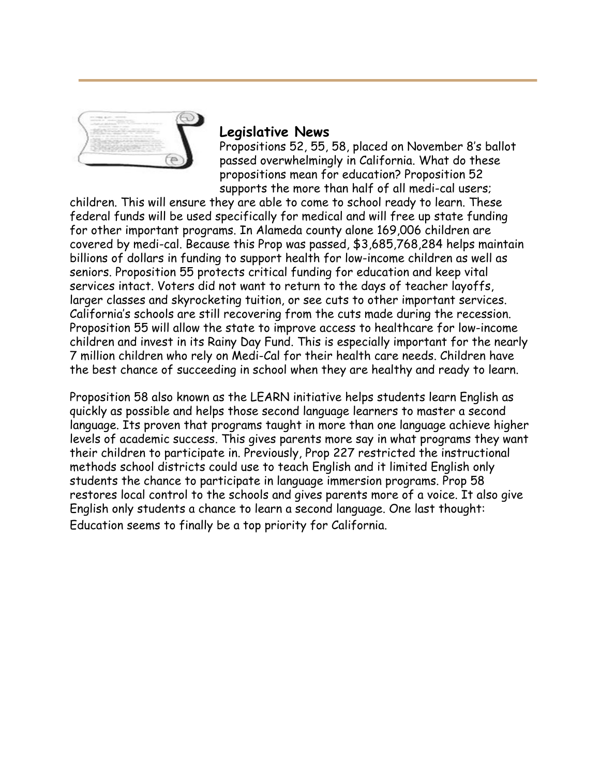

# **Legislative News**

Propositions 52, 55, 58, placed on November 8's ballot passed overwhelmingly in California. What do these propositions mean for education? Proposition 52 supports the more than half of all medi-cal users;

children. This will ensure they are able to come to school ready to learn. These federal funds will be used specifically for medical and will free up state funding for other important programs. In Alameda county alone 169,006 children are covered by medi-cal. Because this Prop was passed, \$3,685,768,284 helps maintain billions of dollars in funding to support health for low-income children as well as seniors. Proposition 55 protects critical funding for education and keep vital services intact. Voters did not want to return to the days of teacher layoffs, larger classes and skyrocketing tuition, or see cuts to other important services. California's schools are still recovering from the cuts made during the recession. Proposition 55 will allow the state to improve access to healthcare for low-income children and invest in its Rainy Day Fund. This is especially important for the nearly 7 million children who rely on Medi-Cal for their health care needs. Children have the best chance of succeeding in school when they are healthy and ready to learn.

Proposition 58 also known as the LEARN initiative helps students learn English as quickly as possible and helps those second language learners to master a second language. Its proven that programs taught in more than one language achieve higher levels of academic success. This gives parents more say in what programs they want their children to participate in. Previously, Prop 227 restricted the instructional methods school districts could use to teach English and it limited English only students the chance to participate in language immersion programs. Prop 58 restores local control to the schools and gives parents more of a voice. It also give English only students a chance to learn a second language. One last thought: Education seems to finally be a top priority for California.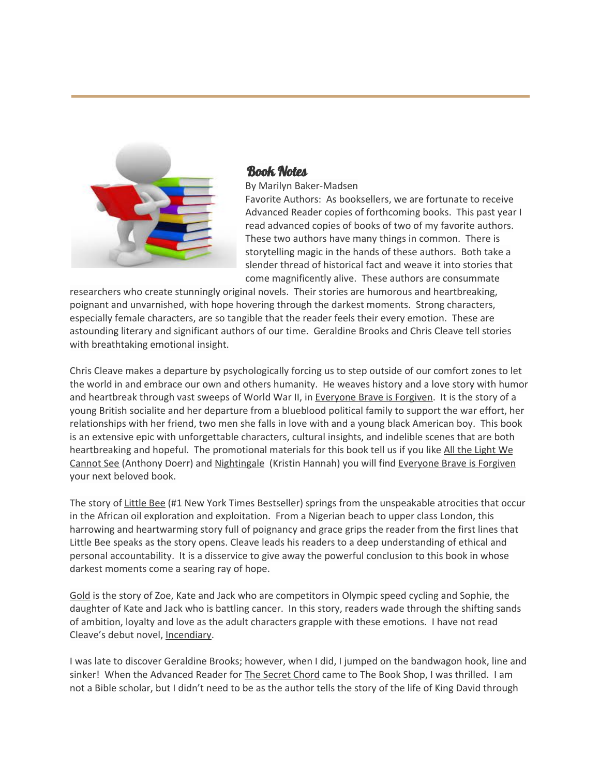

### Book Notes

By Marilyn Baker-Madsen

Favorite Authors: As booksellers, we are fortunate to receive Advanced Reader copies of forthcoming books. This past year I read advanced copies of books of two of my favorite authors. These two authors have many things in common. There is storytelling magic in the hands of these authors. Both take a slender thread of historical fact and weave it into stories that come magnificently alive. These authors are consummate

researchers who create stunningly original novels. Their stories are humorous and heartbreaking, poignant and unvarnished, with hope hovering through the darkest moments. Strong characters, especially female characters, are so tangible that the reader feels their every emotion. These are astounding literary and significant authors of our time. Geraldine Brooks and Chris Cleave tell stories with breathtaking emotional insight.

Chris Cleave makes a departure by psychologically forcing us to step outside of our comfort zones to let the world in and embrace our own and others humanity. He weaves history and a love story with humor and heartbreak through vast sweeps of World War II, in Everyone Brave is Forgiven. It is the story of a young British socialite and her departure from a blueblood political family to support the war effort, her relationships with her friend, two men she falls in love with and a young black American boy. This book is an extensive epic with unforgettable characters, cultural insights, and indelible scenes that are both heartbreaking and hopeful. The promotional materials for this book tell us if you like All the Light We Cannot See (Anthony Doerr) and Nightingale (Kristin Hannah) you will find Everyone Brave is Forgiven your next beloved book.

The story of Little Bee (#1 New York Times Bestseller) springs from the unspeakable atrocities that occur in the African oil exploration and exploitation. From a Nigerian beach to upper class London, this harrowing and heartwarming story full of poignancy and grace grips the reader from the first lines that Little Bee speaks as the story opens. Cleave leads his readers to a deep understanding of ethical and personal accountability. It is a disservice to give away the powerful conclusion to this book in whose darkest moments come a searing ray of hope.

Gold is the story of Zoe, Kate and Jack who are competitors in Olympic speed cycling and Sophie, the daughter of Kate and Jack who is battling cancer. In this story, readers wade through the shifting sands of ambition, loyalty and love as the adult characters grapple with these emotions. I have not read Cleave's debut novel, Incendiary.

I was late to discover Geraldine Brooks; however, when I did, I jumped on the bandwagon hook, line and sinker! When the Advanced Reader for The Secret Chord came to The Book Shop, I was thrilled. I am not a Bible scholar, but I didn't need to be as the author tells the story of the life of King David through